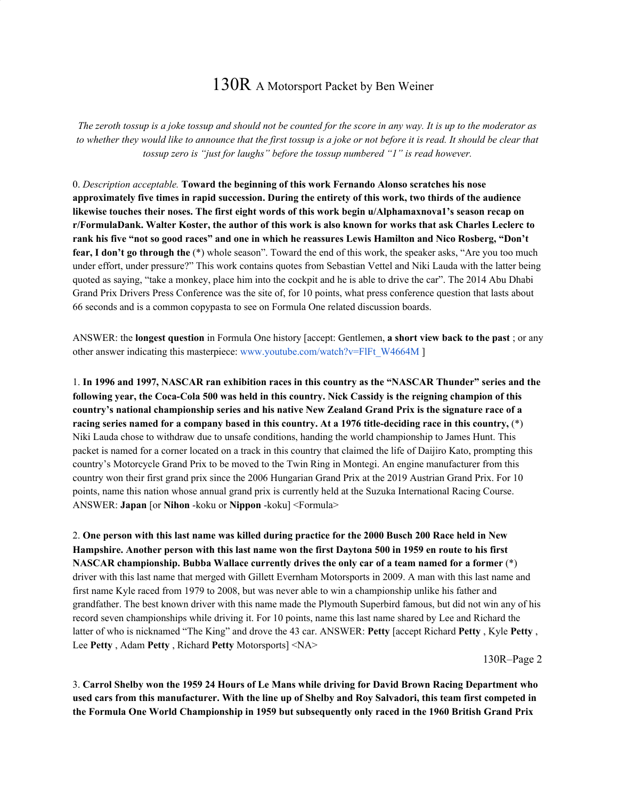## 130R A Motorsport Packet by Ben Weiner

The zeroth tossup is a joke tossup and should not be counted for the score in any way. It is up to the moderator as to whether they would like to announce that the first tossup is a joke or not before it is read. It should be clear that *tossup zero is "just for laughs" before the tossup numbered "1" is read however.*

0. *Description acceptable.* **Toward the beginning of this work Fernando Alonso scratches his nose** approximately five times in rapid succession. During the entirety of this work, two thirds of the audience **likewise touches their noses. The first eight words of this work begin u/Alphamaxnova1's season recap on** r/FormulaDank. Walter Koster, the author of this work is also known for works that ask Charles Leclerc to rank his five "not so good races" and one in which he reassures Lewis Hamilton and Nico Rosberg, "Don't **fear, I don't go through the** (\*) whole season". Toward the end of this work, the speaker asks, "Are you too much under effort, under pressure?" This work contains quotes from Sebastian Vettel and Niki Lauda with the latter being quoted as saying, "take a monkey, place him into the cockpit and he is able to drive the car". The 2014 Abu Dhabi Grand Prix Drivers Press Conference was the site of, for 10 points, what press conference question that lasts about 66 seconds and is a common copypasta to see on Formula One related discussion boards.

ANSWER: the **longest question** in Formula One history [accept: Gentlemen, **a short view back to the past** ; or any other answer indicating this masterpiece: www.youtube.com/watch?v=FlFt\_W4664M ]

1. In 1996 and 1997, NASCAR ran exhibition races in this country as the "NASCAR Thunder" series and the following year, the Coca-Cola 500 was held in this country. Nick Cassidy is the reigning champion of this **country's national championship series and his native New Zealand Grand Prix is the signature race of a** racing series named for a company based in this country. At a 1976 title-deciding race in this country,  $(*)$ Niki Lauda chose to withdraw due to unsafe conditions, handing the world championship to James Hunt. This packet is named for a corner located on a track in this country that claimed the life of Daijiro Kato, prompting this country's Motorcycle Grand Prix to be moved to the Twin Ring in Montegi. An engine manufacturer from this country won their first grand prix since the 2006 Hungarian Grand Prix at the 2019 Austrian Grand Prix. For 10 points, name this nation whose annual grand prix is currently held at the Suzuka International Racing Course. ANSWER: **Japan** [or **Nihon** -koku or **Nippon** -koku] <Formula>

2. One person with this last name was killed during practice for the 2000 Busch 200 Race held in New Hampshire. Another person with this last name won the first Daytona 500 in 1959 en route to his first **NASCAR championship. Bubba Wallace currently drives the only car of a team named for a former** (\*) driver with this last name that merged with Gillett Evernham Motorsports in 2009. A man with this last name and first name Kyle raced from 1979 to 2008, but was never able to win a championship unlike his father and grandfather. The best known driver with this name made the Plymouth Superbird famous, but did not win any of his record seven championships while driving it. For 10 points, name this last name shared by Lee and Richard the latter of who is nicknamed "The King" and drove the 43 car. ANSWER: **Petty** [accept Richard **Petty** , Kyle **Petty** , Lee **Petty** , Adam **Petty** , Richard **Petty** Motorsports] <NA>

130R–Page 2

3. Carrol Shelby won the 1959 24 Hours of Le Mans while driving for David Brown Racing Department who used cars from this manufacturer. With the line up of Shelby and Roy Salvadori, this team first competed in **the Formula One World Championship in 1959 but subsequently only raced in the 1960 British Grand Prix**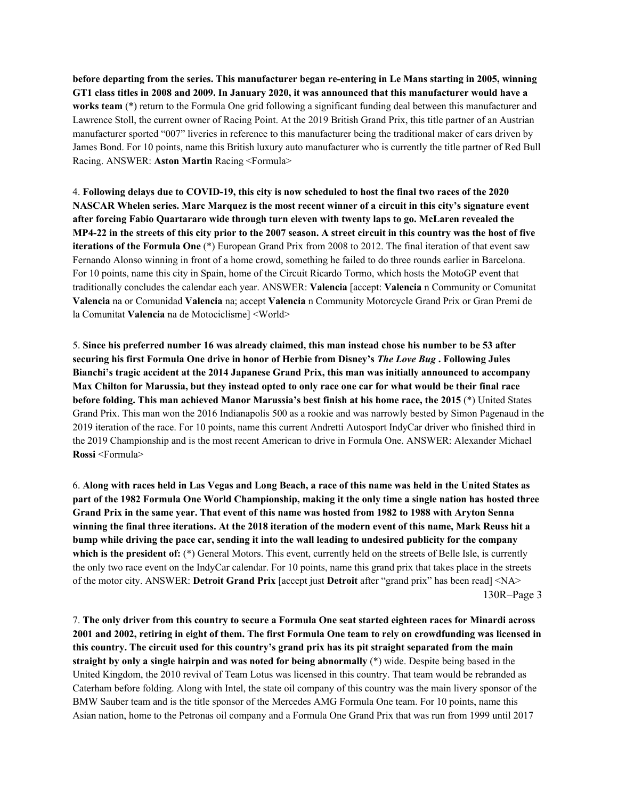**before departing from the series. This manufacturer began re-entering in Le Mans starting in 2005, winning** GT1 class titles in 2008 and 2009. In January 2020, it was announced that this manufacturer would have a **works team** (\*) return to the Formula One grid following a significant funding deal between this manufacturer and Lawrence Stoll, the current owner of Racing Point. At the 2019 British Grand Prix, this title partner of an Austrian manufacturer sported "007" liveries in reference to this manufacturer being the traditional maker of cars driven by James Bond. For 10 points, name this British luxury auto manufacturer who is currently the title partner of Red Bull Racing. ANSWER: **Aston Martin** Racing <Formula>

4. Following delays due to COVID-19, this city is now scheduled to host the final two races of the 2020 NASCAR Whelen series. Marc Marquez is the most recent winner of a circuit in this city's signature event **after forcing Fabio Quartararo wide through turn eleven with twenty laps to go. McLaren revealed the** MP4-22 in the streets of this city prior to the 2007 season. A street circuit in this country was the host of five **iterations of the Formula One** (\*) European Grand Prix from 2008 to 2012. The final iteration of that event saw Fernando Alonso winning in front of a home crowd, something he failed to do three rounds earlier in Barcelona. For 10 points, name this city in Spain, home of the Circuit Ricardo Tormo, which hosts the MotoGP event that traditionally concludes the calendar each year. ANSWER: **Valencia** [accept: **Valencia** n Community or Comunitat **Valencia** na or Comunidad **Valencia** na; accept **Valencia** n Community Motorcycle Grand Prix or Gran Premi de la Comunitat **Valencia** na de Motociclisme] <World>

5. Since his preferred number 16 was already claimed, this man instead chose his number to be 53 after securing his first Formula One drive in honor of Herbie from Disney's The Love Bug. Following Jules **Bianchi's tragic accident at the 2014 Japanese Grand Prix, this man was initially announced to accompany** Max Chilton for Marussia, but they instead opted to only race one car for what would be their final race **before folding. This man achieved Manor Marussia's best finish at his home race, the 2015** (\*) United States Grand Prix. This man won the 2016 Indianapolis 500 as a rookie and was narrowly bested by Simon Pagenaud in the 2019 iteration of the race. For 10 points, name this current Andretti Autosport IndyCar driver who finished third in the 2019 Championship and is the most recent American to drive in Formula One. ANSWER: Alexander Michael **Rossi** <Formula>

6. Along with races held in Las Vegas and Long Beach, a race of this name was held in the United States as part of the 1982 Formula One World Championship, making it the only time a single nation has hosted three Grand Prix in the same year. That event of this name was hosted from 1982 to 1988 with Aryton Senna winning the final three iterations. At the 2018 iteration of the modern event of this name, Mark Reuss hit a bump while driving the pace car, sending it into the wall leading to undesired publicity for the company **which is the president of:** (\*) General Motors. This event, currently held on the streets of Belle Isle, is currently the only two race event on the IndyCar calendar. For 10 points, name this grand prix that takes place in the streets of the motor city. ANSWER: **Detroit Grand Prix** [accept just **Detroit** after "grand prix" has been read] <NA> 130R–Page 3

7. The only driver from this country to secure a Formula One seat started eighteen races for Minardi across 2001 and 2002, retiring in eight of them. The first Formula One team to rely on crowdfunding was licensed in this country. The circuit used for this country's grand prix has its pit straight separated from the main **straight by only a single hairpin and was noted for being abnormally** (\*) wide. Despite being based in the United Kingdom, the 2010 revival of Team Lotus was licensed in this country. That team would be rebranded as Caterham before folding. Along with Intel, the state oil company of this country was the main livery sponsor of the BMW Sauber team and is the title sponsor of the Mercedes AMG Formula One team. For 10 points, name this Asian nation, home to the Petronas oil company and a Formula One Grand Prix that was run from 1999 until 2017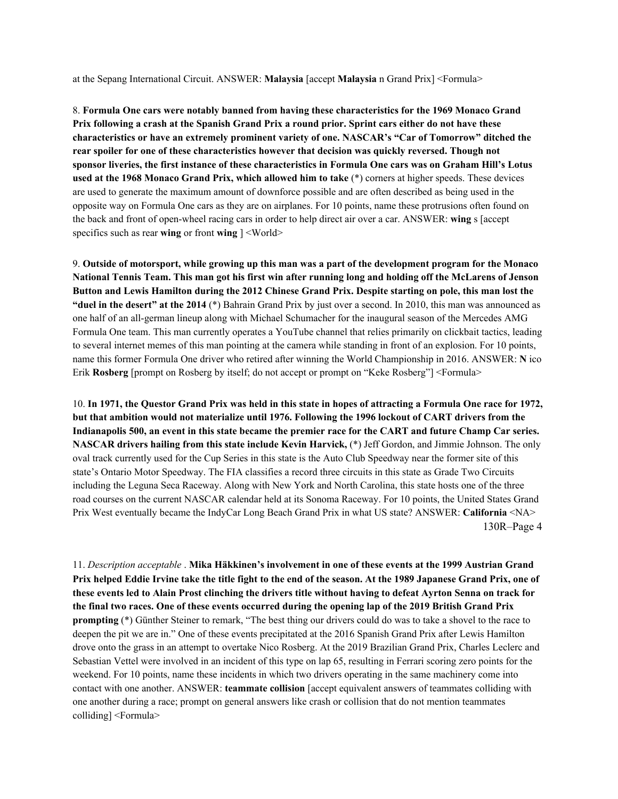at the Sepang International Circuit. ANSWER: **Malaysia** [accept **Malaysia** n Grand Prix] <Formula>

8. **Formula One cars were notably banned from having these characteristics for the 1969 Monaco Grand** Prix following a crash at the Spanish Grand Prix a round prior. Sprint cars either do not have these **characteristics or have an extremely prominent variety of one. NASCAR's "Car of Tomorrow" ditched the rear spoiler for one of these characteristics however that decision was quickly reversed. Though not** sponsor liveries, the first instance of these characteristics in Formula One cars was on Graham Hill's Lotus **used at the 1968 Monaco Grand Prix, which allowed him to take** (\*) corners at higher speeds. These devices are used to generate the maximum amount of downforce possible and are often described as being used in the opposite way on Formula One cars as they are on airplanes. For 10 points, name these protrusions often found on the back and front of open-wheel racing cars in order to help direct air over a car. ANSWER: **wing** s [accept specifics such as rear **wing** or front **wing** ] <World>

9. Outside of motorsport, while growing up this man was a part of the development program for the Monaco National Tennis Team. This man got his first win after running long and holding off the McLarens of Jenson Button and Lewis Hamilton during the 2012 Chinese Grand Prix. Despite starting on pole, this man lost the **"duel in the desert" at the 2014** (\*) Bahrain Grand Prix by just over a second. In 2010, this man was announced as one half of an all-german lineup along with Michael Schumacher for the inaugural season of the Mercedes AMG Formula One team. This man currently operates a YouTube channel that relies primarily on clickbait tactics, leading to several internet memes of this man pointing at the camera while standing in front of an explosion. For 10 points, name this former Formula One driver who retired after winning the World Championship in 2016. ANSWER: **N** ico Erik **Rosberg** [prompt on Rosberg by itself; do not accept or prompt on "Keke Rosberg"] <Formula>

10. In 1971, the Questor Grand Prix was held in this state in hopes of attracting a Formula One race for 1972, **but that ambition would not materialize until 1976. Following the 1996 lockout of CART drivers from the** Indianapolis 500, an event in this state became the premier race for the CART and future Champ Car series. **NASCAR drivers hailing from this state include Kevin Harvick,** (\*) Jeff Gordon, and Jimmie Johnson. The only oval track currently used for the Cup Series in this state is the Auto Club Speedway near the former site of this state's Ontario Motor Speedway. The FIA classifies a record three circuits in this state as Grade Two Circuits including the Leguna Seca Raceway. Along with New York and North Carolina, this state hosts one of the three road courses on the current NASCAR calendar held at its Sonoma Raceway. For 10 points, the United States Grand Prix West eventually became the IndyCar Long Beach Grand Prix in what US state? ANSWER: **California** <NA> 130R–Page 4

11. *Description acceptable* . **Mika Häkkinen's involvement in one of these events at the 1999 Austrian Grand** Prix helped Eddie Irvine take the title fight to the end of the season. At the 1989 Japanese Grand Prix, one of these events led to Alain Prost clinching the drivers title without having to defeat Ayrton Senna on track for the final two races. One of these events occurred during the opening lap of the 2019 British Grand Prix **prompting** (\*) Günther Steiner to remark, "The best thing our drivers could do was to take a shovel to the race to deepen the pit we are in." One of these events precipitated at the 2016 Spanish Grand Prix after Lewis Hamilton drove onto the grass in an attempt to overtake Nico Rosberg. At the 2019 Brazilian Grand Prix, Charles Leclerc and Sebastian Vettel were involved in an incident of this type on lap 65, resulting in Ferrari scoring zero points for the weekend. For 10 points, name these incidents in which two drivers operating in the same machinery come into contact with one another. ANSWER: **teammate collision** [accept equivalent answers of teammates colliding with one another during a race; prompt on general answers like crash or collision that do not mention teammates colliding] <Formula>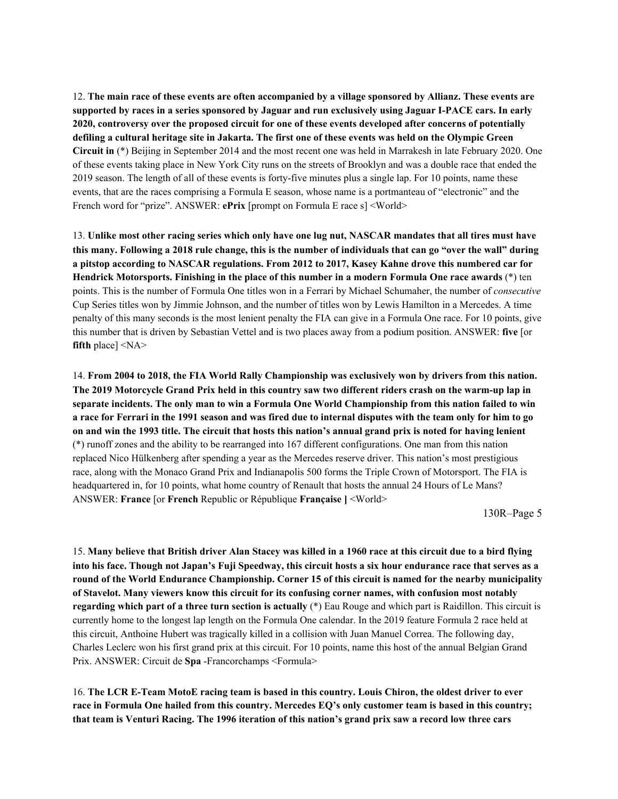12. The main race of these events are often accompanied by a village sponsored by Allianz. These events are supported by races in a series sponsored by Jaguar and run exclusively using Jaguar I-PACE cars. In early **2020, controversy over the proposed circuit for one of these events developed after concerns of potentially** defiling a cultural heritage site in Jakarta. The first one of these events was held on the Olympic Green **Circuit in** (\*) Beijing in September 2014 and the most recent one was held in Marrakesh in late February 2020. One of these events taking place in New York City runs on the streets of Brooklyn and was a double race that ended the 2019 season. The length of all of these events is forty-five minutes plus a single lap. For 10 points, name these events, that are the races comprising a Formula E season, whose name is a portmanteau of "electronic" and the French word for "prize". ANSWER: **ePrix** [prompt on Formula E race s] <World>

13. Unlike most other racing series which only have one lug nut, NASCAR mandates that all tires must have this many. Following a 2018 rule change, this is the number of individuals that can go "over the wall" during **a pitstop according to NASCAR regulations. From 2012 to 2017, Kasey Kahne drove this numbered car for Hendrick Motorsports. Finishing in the place of this number in a modern Formula One race awards** (\*) ten points. This is the number of Formula One titles won in a Ferrari by Michael Schumaher, the number of *consecutive* Cup Series titles won by Jimmie Johnson, and the number of titles won by Lewis Hamilton in a Mercedes. A time penalty of this many seconds is the most lenient penalty the FIA can give in a Formula One race. For 10 points, give this number that is driven by Sebastian Vettel and is two places away from a podium position. ANSWER: **five** [or **fifth** place] <NA>

14. **From 2004 to 2018, the FIA World Rally Championship was exclusively won by drivers from this nation.** The 2019 Motorcycle Grand Prix held in this country saw two different riders crash on the warm-up lap in separate incidents. The only man to win a Formula One World Championship from this nation failed to win a race for Ferrari in the 1991 season and was fired due to internal disputes with the team only for him to go on and win the 1993 title. The circuit that hosts this nation's annual grand prix is noted for having lenient (\*) runoff zones and the ability to be rearranged into 167 different configurations. One man from this nation replaced Nico Hülkenberg after spending a year as the Mercedes reserve driver. This nation's most prestigious race, along with the Monaco Grand Prix and Indianapolis 500 forms the Triple Crown of Motorsport. The FIA is headquartered in, for 10 points, what home country of Renault that hosts the annual 24 Hours of Le Mans? ANSWER: **France** [or **French** Republic or République **Française ]** <World>

130R–Page 5

15. Many believe that British driver Alan Stacey was killed in a 1960 race at this circuit due to a bird flying into his face. Though not Japan's Fuji Speedway, this circuit hosts a six hour endurance race that serves as a **round of the World Endurance Championship. Corner 15 of this circuit is named for the nearby municipality of Stavelot. Many viewers know this circuit for its confusing corner names, with confusion most notably regarding which part of a three turn section is actually** (\*) Eau Rouge and which part is Raidillon. This circuit is currently home to the longest lap length on the Formula One calendar. In the 2019 feature Formula 2 race held at this circuit, Anthoine Hubert was tragically killed in a collision with Juan Manuel Correa. The following day, Charles Leclerc won his first grand prix at this circuit. For 10 points, name this host of the annual Belgian Grand Prix. ANSWER: Circuit de **Spa** -Francorchamps <Formula>

16. The LCR E-Team MotoE racing team is based in this country. Louis Chiron, the oldest driver to ever race in Formula One hailed from this country. Mercedes EQ's only customer team is based in this country; that team is Venturi Racing. The 1996 iteration of this nation's grand prix saw a record low three cars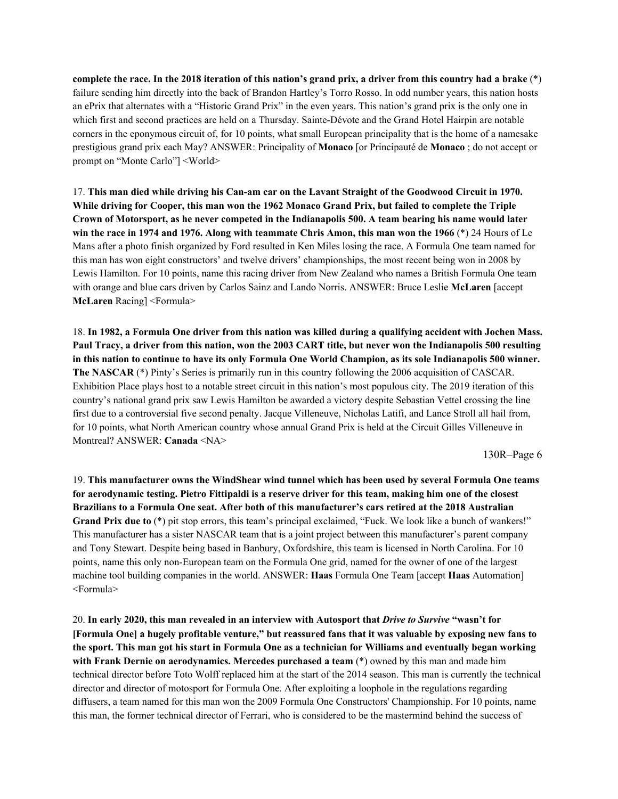complete the race. In the 2018 iteration of this nation's grand prix, a driver from this country had a brake (\*) failure sending him directly into the back of Brandon Hartley's Torro Rosso. In odd number years, this nation hosts an ePrix that alternates with a "Historic Grand Prix" in the even years. This nation's grand prix is the only one in which first and second practices are held on a Thursday. Sainte-Dévote and the Grand Hotel Hairpin are notable corners in the eponymous circuit of, for 10 points, what small European principality that is the home of a namesake prestigious grand prix each May? ANSWER: Principality of **Monaco** [or Principauté de **Monaco** ; do not accept or prompt on "Monte Carlo"] <World>

17. This man died while driving his Can-am car on the Lavant Straight of the Goodwood Circuit in 1970. While driving for Cooper, this man won the 1962 Monaco Grand Prix, but failed to complete the Triple Crown of Motorsport, as he never competed in the Indianapolis 500. A team bearing his name would later **win the race in 1974 and 1976. Along with teammate Chris Amon, this man won the 1966** (\*) 24 Hours of Le Mans after a photo finish organized by Ford resulted in Ken Miles losing the race. A Formula One team named for this man has won eight constructors' and twelve drivers' championships, the most recent being won in 2008 by Lewis Hamilton. For 10 points, name this racing driver from New Zealand who names a British Formula One team with orange and blue cars driven by Carlos Sainz and Lando Norris. ANSWER: Bruce Leslie **McLaren** [accept **McLaren** Racing] <Formula>

18. In 1982, a Formula One driver from this nation was killed during a qualifying accident with Jochen Mass. Paul Tracy, a driver from this nation, won the 2003 CART title, but never won the Indianapolis 500 resulting in this nation to continue to have its only Formula One World Champion, as its sole Indianapolis 500 winner. **The NASCAR** (\*) Pinty's Series is primarily run in this country following the 2006 acquisition of CASCAR. Exhibition Place plays host to a notable street circuit in this nation's most populous city. The 2019 iteration of this country's national grand prix saw Lewis Hamilton be awarded a victory despite Sebastian Vettel crossing the line first due to a controversial five second penalty. Jacque Villeneuve, Nicholas Latifi, and Lance Stroll all hail from, for 10 points, what North American country whose annual Grand Prix is held at the Circuit Gilles Villeneuve in Montreal? ANSWER: **Canada** <NA>

130R–Page 6

19. **This manufacturer owns the WindShear wind tunnel which has been used by several Formula One teams** for aerodynamic testing. Pietro Fittipaldi is a reserve driver for this team, making him one of the closest **Brazilians to a Formula One seat. After both of this manufacturer's cars retired at the 2018 Australian Grand Prix due to** (\*) pit stop errors, this team's principal exclaimed, "Fuck. We look like a bunch of wankers!" This manufacturer has a sister NASCAR team that is a joint project between this manufacturer's parent company and Tony Stewart. Despite being based in Banbury, Oxfordshire, this team is licensed in North Carolina. For 10 points, name this only non-European team on the Formula One grid, named for the owner of one of the largest machine tool building companies in the world. ANSWER: **Haas** Formula One Team [accept **Haas** Automation] <Formula>

20. **In early 2020, this man revealed in an interview with Autosport that** *Drive to Survive* **"wasn't for** [Formula One] a hugely profitable venture," but reassured fans that it was valuable by exposing new fans to the sport. This man got his start in Formula One as a technician for Williams and eventually began working **with Frank Dernie on aerodynamics. Mercedes purchased a team** (\*) owned by this man and made him technical director before Toto Wolff replaced him at the start of the 2014 season. This man is currently the technical director and director of motosport for Formula One. After exploiting a loophole in the regulations regarding diffusers, a team named for this man won the 2009 Formula One Constructors' Championship. For 10 points, name this man, the former technical director of Ferrari, who is considered to be the mastermind behind the success of